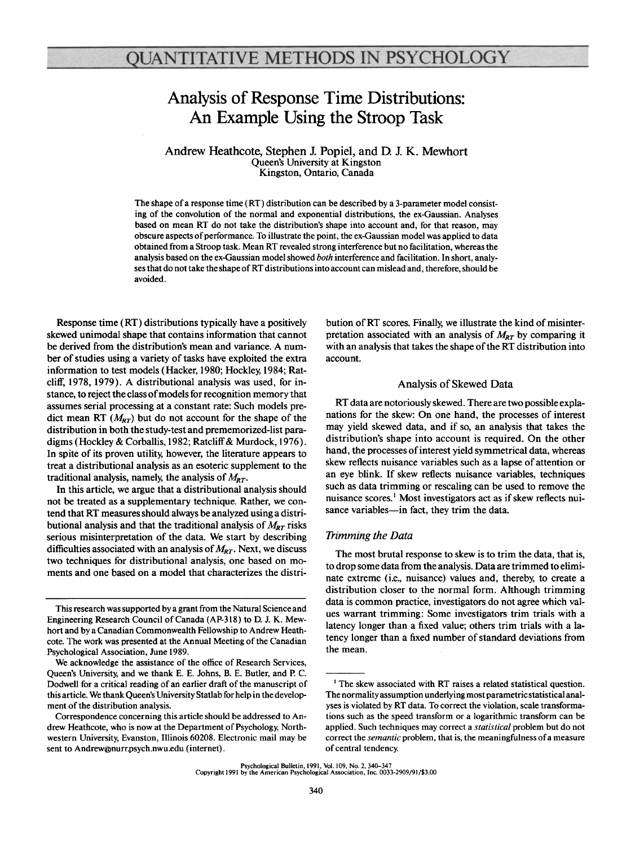# **Analysis of Response Time Distributions: An Example Using the Stroop Task**

## Andrew Heathcote, Stephen J. Popiel, and D. J. K. Mewhort Queen's University at Kingston Kingston, Ontario, Canada

The shape of a response time (RT) distribution can be described by a 3-parameter model consisting of the convolution of the normal and exponential distributions, the ex-Gaussian. Analyses based on mean RT do not take the distribution's shape into account and, for that reason, may obscure aspects of performance. To illustrate the point, the ex-Gaussian model was applied to data obtained from a Stroop task. Mean RT revealed strong interference but no facilitation, whereas the analysis based on the ex-Gaussian model showed *both* interference and facilitation. In short, analyses that do not take the shape of RT distributions into account can mislead and, therefore, should be avoided.

Response time (RT) distributions typically have a positively skewed unimodal shape that contains information that cannot be derived from the distribution's mean and variance. A number of studies using a variety of tasks have exploited the extra information to test models (Hacker, 1980; Hockley, 1984; Ratcliff, 1978, 1979). A distributional analysis was used, for instance, to reject the class of models for recognition memory that assumes serial processing at a constant rate: Such models predict mean RT  $(M_{RT})$  but do not account for the shape of the distribution in both the study-test and prememorized-list paradigms (Hockley & Corballis, 1982; Ratcliff & Murdock, 1976). In spite of its proven utility, however, the literature appears to treat a distributional analysis as an esoteric supplement to the traditional analysis, namely, the analysis of  $M_{RT}$ .

In this article, we argue that a distributional analysis should not be treated as a supplementary technique. Rather, we contend that RT measures should always be analyzed using a distributional analysis and that the traditional analysis of  $M_{RT}$  risks serious misinterpretation of the data. We start by describing difficulties associated with an analysis of  $M_{RT}$ . Next, we discuss two techniques for distributional analysis, one based on moments and one based on a model that characterizes the distri-

This research was supported by a grant from the Natural Science and Engineering Research Council of Canada (AP-318) to D. J. K. Mewhort and by a Canadian Commonwealth Fellowship to Andrew Heathcote. The work was presented at the Annual Meeting of the Canadian Psychological Association, June 1989.

We acknowledge the assistance of the office of Research Services, Queen's University, and we thank E. E. Johns, B. E. Butler, and P. C. Dodwell for a critical reading of an earlier draft of the manuscript of this article. We thank Queen's University Statlab for help in the development of the distribution analysis.

Correspondence concerning this article should be addressed to Andrew Heathcote, who is now at the Department of Psychology, Northwestern University, Evanston, Illinois 60208. Electronic mail may be sent to Andrew@nurr.psych.nwu.edu (internet).

bution of RT scores. Finally, we illustrate the kind of misinterpretation associated with an analysis of  $M_{RT}$  by comparing it with an analysis that takes the shape of the RT distribution into account.

# Analysis of Skewed Data

RT data are notoriously skewed. There are two possible explanations for the skew: On one hand, the processes of interest may yield skewed data, and if so, an analysis that takes the distribution's shape into account is required. On the other hand, the processes of interest yield symmetrical data, whereas skew reflects nuisance variables such as a lapse of attention or an eye blink. If skew reflects nuisance variables, techniques such as data trimming or rescaling can be used to remove the nuisance scores.<sup>1</sup> Most investigators act as if skew reflects nuisance variables—in fact, they trim the data.

# *Trimming the Data*

The most brutal response to skew is to trim the data, that is, to drop some data from the analysis. Data are trimmed to eliminate extreme (i.e., nuisance) values and, thereby, to create a distribution closer to the normal form. Although trimming data is common practice, investigators do not agree which values warrant trimming: Some investigators trim trials with a latency longer than a fixed value; others trim trials with a latency longer than a fixed number of standard deviations from the mean.

<sup>&</sup>lt;sup>1</sup> The skew associated with RT raises a related statistical question. The normality assumption underlying most parametric statistical analyses is violated by RT data. To correct the violation, scale transformations such as the speed transform or a logarithmic transform can be applied. Such techniques may correct a *statistical* problem but do not correct the *semantic* problem, that is, the meaningfulness of a measure of central tendency.

Psychological Bulletin, 1991, Vol. 109, No. 2, 340-347 Copyright 1991 by the American Psychological Association, Inc. 0033-2909/91/\$3.00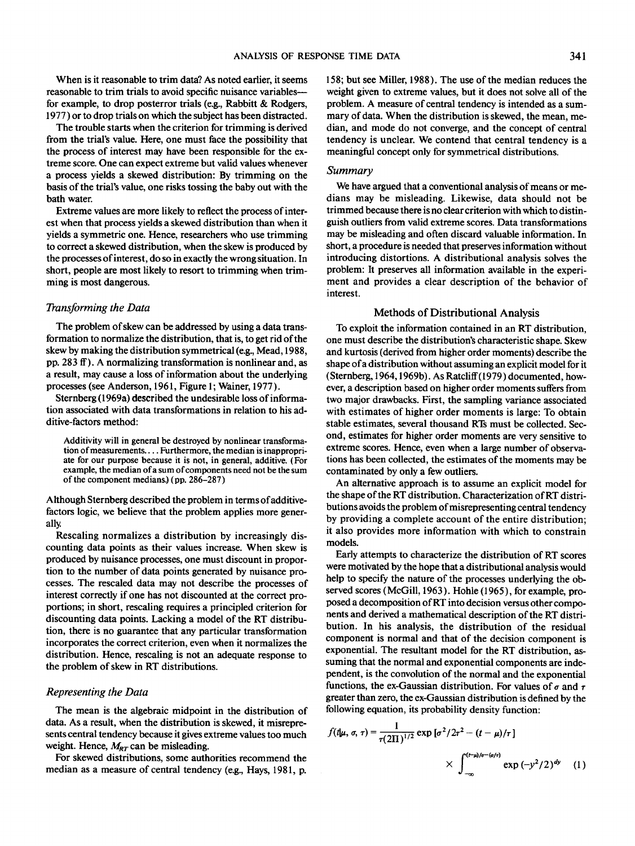When is it reasonable to trim data? As noted earlier, it seems reasonable to trim trials to avoid specific nuisance variables--for example, to drop posterror trials (e.g., Rabbitt & Rodgers, 1977) or to drop trials on which the subject has been distracted.

The trouble starts when the criterion for trimming is derived from the trial's value. Here, one must face the possibility that the process of interest may have been responsible for the extreme score. One can expect extreme but valid values whenever a process yields a skewed distribution: By trimming on the basis of the trial's value, one risks tossing the baby out with the bath water.

Extreme values are more likely to reflect the process of interest when that process yields a skewed distribution than when it yields a symmetric one. Hence, researchers who use trimming to correct a skewed distribution, when the skew is produced by the processes of interest, do so in exactly the wrong situation. In short, people are most likely to resort to trimming when trimming is most dangerous.

# *Transforming the Data*

The problem of skew can be addressed by using a data transformation to normalize the distribution, that is, to get rid of the skew by making the distribution symmetrical (e.g., Mead, 1988, pp. 283 if). A normalizing transformation is nonlinear and, as a result, may cause a loss of information about the underlying processes (see Anderson, 1961, Figure 1; Wainer, 1977).

Sternberg (1969a) described the undesirable loss of information associated with data transformations in relation to his additive-factors method:

Additivity will in general be destroyed by nonlinear transformation of measurements .... Furthermore, the median is inappropriate for our purpose because it is not, in general, additive. (For example, the median of a sum of components need not be the sum of the component medians.) (pp. 286-287 )

Although Sternberg described the problem in terms of additivefactors logic, we believe that the problem applies more generally.

Rescaling normalizes a distribution by increasingly discounting data points as their values increase. When skew is produced by nuisance processes, one must discount in proportion to the number of data points generated by nuisance processes. The rescaled data may not describe the processes of interest correctly if one has not discounted at the correct proportions; in short, rescaling requires a principled criterion for discounting data points. Lacking a model of the RT distribution, there is no guarantee that any particular transformation incorporates the correct criterion, even when it normalizes the distribution. Hence, rescaling is not an adequate response to the problem of skew in RT distributions.

#### *Representing the Data*

The mean is the algebraic midpoint in the distribution of data. As a result, when the distribution is skewed, it misrepresents central tendency because it gives extreme values too much weight. Hence,  $M_{RT}$  can be misleading.

For skewed distributions, some authorities recommend the median as a measure of central tendency (e.g., Hays, 1981, p.

158; but see Miller, 1988). The use of the median reduces the weight given to extreme values, but it does not solve all of the problem. A measure of central tendency is intended as a summary of data. When the distribution is skewed, the mean, median, and mode do not converge, and the concept of central tendency is unclear. We contend that central tendency is a meaningful concept only for symmetrical distributions.

# *Summary*

We have argued that a conventional analysis of means or medians may be misleading. Likewise, data should not be trimmed because there is no clear criterion with which to distinguish outliers from valid extreme scores. Data transformations may be misleading and often discard valuable information. In short, a procedure is needed that preserves information without introducing distortions. A distributional analysis solves the problem: It preserves all information available in the experiment and provides a clear description of the behavior of interest.

## Methods of Distributional Analysis

To exploit the information contained in an RT distribution, one must describe the distribution's characteristic shape. Skew and kurtosis (derived from higher order moments) describe the shape of a distribution without assuming an explicit model for it (Sternberg, 1964,1969b). As Ratcliff(1979) documented, however, a description based on higher order moments suffers from two major drawbacks. First, the sampling variance associated with estimates of higher order moments is large: To obtain stable estimates, several thousand RTs must be collected. Second, estimates for higher order moments are very sensitive to extreme scores. Hence, even when a large number of observations has been collected, the estimates of the moments may be contaminated by only a few outliers.

An alternative approach is to assume an explicit model for the shape of the RT distribution. Characterization of RT distributions avoids the problem of misrepresenting central tendency by providing a complete account of the entire distribution; it also provides more information with which to constrain models.

Early attempts to characterize the distribution of RT scores were motivated by the hope that a distributional analysis would help to specify the nature of the processes underlying the observed scores (McGill, 1963). Hohle (1965), for example, proposed a decomposition of RT into decision versus other components and derived a mathematical description of the RT distribution. In his analysis, the distribution of the residual component is normal and that of the decision component is exponential. The resultant model for the RT distribution, assuming that the normal and exponential components are independent, is the convolution of the normal and the exponential functions, the ex-Gaussian distribution. For values of  $\sigma$  and  $\tau$ greater than zero, the ex-Gaussian distribution is defined by the following equation, its probability density function:

$$
f(t|\mu, \sigma, \tau) = \frac{1}{\tau (2\Pi)^{1/2}} \exp \left[\sigma^2 / 2\tau^2 - (t - \mu) / \tau\right]
$$

$$
\times \int_{-\infty}^{(t - \mu)/\sigma - (\sigma/\tau)} \exp \left(-y^2 / 2\right)^{d\gamma} (1)
$$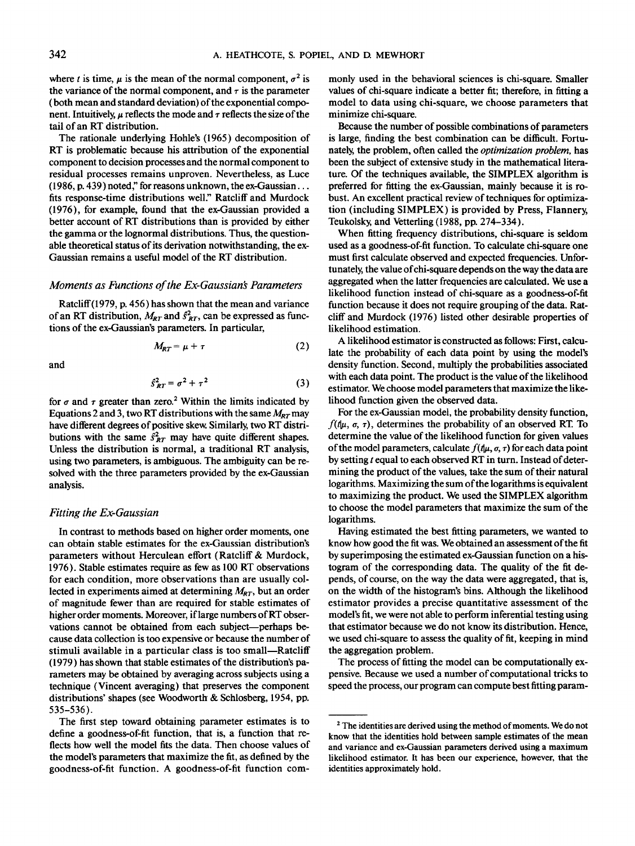where t is time,  $\mu$  is the mean of the normal component,  $\sigma^2$  is the variance of the normal component, and  $\tau$  is the parameter (both mean and standard deviation) of the exponential component. Intuitively,  $\mu$  reflects the mode and  $\tau$  reflects the size of the tail of an RT distribution.

The rationale underlying Hohle's (1965) decomposition of RT is problematic because his attribution of the exponential component to decision processes and the normal component to residual processes remains unproven. Nevertheless, as Luce  $(1986, p. 439)$  noted," for reasons unknown, the ex-Gaussian... fits response-time distributions well" Ratcliff and Murdock (1976), for example, found that the ex-Gaussian provided a better account of RT distributions than is provided by either the gamma or the lognormal distributions. Thus, the questionable theoretical status of its derivation notwithstanding, the ex-Gaussian remains a useful model of the RT distribution.

# *Moments as Functions of the Ex-Gaussian's Parameters*

Ratcliff(1979, p. 456) has shown that the mean and variance of an RT distribution,  $M_{RT}$  and  $\hat{s}_{RT}^2$ , can be expressed as functions of the ex-Gaussian's parameters. In particular,

$$
M_{RT} = \mu + \tau \tag{2}
$$

and

$$
\hat{S}_{PT}^2 = \sigma^2 + \tau^2 \tag{3}
$$

for  $\sigma$  and  $\tau$  greater than zero.<sup>2</sup> Within the limits indicated by Equations 2 and 3, two RT distributions with the same  $M_{RT}$  may have different degrees of positive skew. Similarly, two RT distributions with the same  $\hat{s}_{RT}^2$  may have quite different shapes. Unless the distribution is normal, a traditional RT analysis, using two parameters, is ambiguous. The ambiguity can be resolved with the three parameters provided by the ex-Gaussian analysis.

#### *Fitting the Ex-Gaussian*

In contrast to methods based on higher order moments, one can obtain stable estimates for the ex-Gaussian distribution's parameters without Herculean effort (Ratcliff & Murdock, 1976). Stable estimates require as few as 100 RT observations for each condition, more observations than are usually collected in experiments aimed at determining  $M_{RT}$ , but an order of magnitude fewer than are required for stable estimates of higher order moments. Moreover, if large numbers of RT observations cannot be obtained from each subject--perhaps because data collection is too expensive or because the number of stimuli available in a particular class is too small—Ratcliff (1979) has shown that stable estimates of the distribution's parameters may be obtained by averaging across subjects using a technique (Vincent averaging) that preserves the component distributions' shapes (see Woodworth & Schlosberg, 1954, pp. 535-536).

The first step toward obtaining parameter estimates is to define a goodness-of-fit function, that is, a function that reflects how well the model fits the data. Then choose values of the model's parameters that maximize the fit, as defined by the goodness-of-fit function. A goodness-of-fit function commonly used in the behavioral sciences is chi-square. Smaller values of chi-square indicate a better fit; therefore, in fitting a model to data using chi-square, we choose parameters that minimize chi-square.

Because the number of possible combinations of parameters is large, finding the best combination can be difficult. Fortunately, the problem, often called the *optimization problem,* has been the subject of extensive study in the mathematical literature. Of the techniques available, the SIMPLEX algorithm is preferred for fitting the ex-Gaussian, mainly because it is robust. An excellent practical review of techniques for optimization (including SIMPLEX) is provided by Press, Flannery, Teukolsky, and Vetterling (1988, pp. 274-334).

When fitting frequency distributions, chi-square is seldom used as a goodness-of-fit function. To calculate chi-square one must first calculate observed and expected frequencies. Unfortunately, the value of chi-square depends on the way the data are aggregated when the latter frequencies are calculated. We use a likelihood function instead of chi-square as a goodness-of-fit function because it does not require grouping of the data. Ratcliff and Murdock (1976) listed other desirable properties of likelihood estimation.

A likelihood estimator is constructed as follows: First, calculate the probability of each data point by using the model's density function. Second, multiply the probabilities associated with each data point. The product is the value of the likelihood estimator. We choose model parameters that maximize the likelihood function given the observed data.

For the ex-Gaussian model, the probability density function,  $f(t|\mu, \sigma, \tau)$ , determines the probability of an observed RT. To determine the value of the likelihood function for given values of the model parameters, calculate  $f(t|\mu, \sigma, \tau)$  for each data point by setting t equal to each observed RT in turn. Instead of determining the product of the values, take the sum of their natural logarithms. Maximizing the sum of the logarithms is equivalent to maximizing the product. We used the SIMPLEX algorithm to choose the model parameters that maximize the sum of the logarithms.

Having estimated the best fitting parameters, we wanted to know how good the fit was. We obtained an assessment of the fit by superimposing the estimated ex-Gaussian function on a histogram of the corresponding data. The quality of the fit depends, of course, on the way the data were aggregated, that is, on the width of the histogram's bins. Although the likelihood estimator provides a precise quantitative assessment of the model's fit, we were not able to perform inferential testing using that estimator because we do not know its distribution. Hence, we used chi-square to assess the quality of fit, keeping in mind the aggregation problem.

The process of fitting the model can be computationally expensive. Because we used a number of computational tricks to speed the process, our program can compute best fitting param-

<sup>&</sup>lt;sup>2</sup> The identities are derived using the method of moments. We do not know that the identities hold between sample estimates of the mean and variance and ex-Gaussian parameters derived using a maximum likelihood estimator. It has been our experience, however, that the identities approximately hold.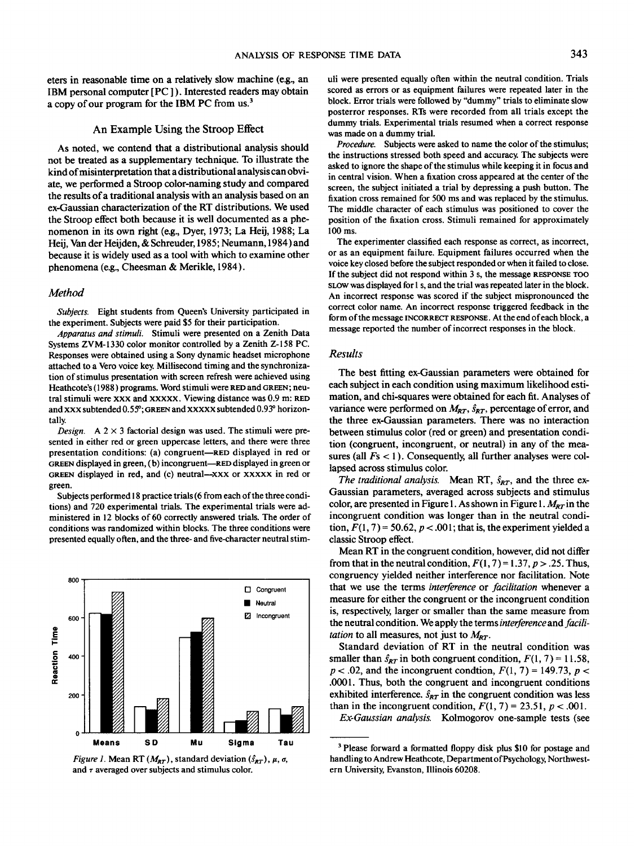eters in reasonable time on a relatively slow machine (e.g., an IBM personal computer [PC ] ). Interested readers may obtain a copy of our program for the IBM PC from us. 3

## An Example Using the Stroop Effect

As noted, we contend that a distributional analysis should not be treated as a supplementary technique. To illustrate the kind of misinterpretation that a distributional analysis can obviate, we performed a Stroop color-naming study and compared the results of a traditional analysis with an analysis based on an ex-Gaussian characterization of the RT distributions. We used the Stroop effect both because it is well documented as a phenomenon in its own fight (e.g., Dyer, 1973; La Heij, 1988; La Heij, Van der Heijden, & Schreuder, 1985; Neumann, 1984) and because it is widely used as a tool with which to examine other phenomena (e.g., Cheesman & Merikle, 1984).

#### *Method*

*Subjects.* Eight students from Queen's University participated in the experiment. Subjects were paid \$5 for their participation.

*Apparatus and stimuli.* Stimuli were presented on a Zenith Data Systems ZVM-1330 color monitor controlled by a Zenith Z-158 PC. Responses were obtained using a Sony dynamic headset microphone attached to a Vero voice key. Millisecond timing and the synchronization of stimulus presentation with screen refresh were achieved using Heathcote's (1988) programs. Word stimuli were RED and GREEN; neutral stimuli were xxx and xxxxx. Viewing distance was 0.9 m: RED and  $xxxx$  subtended  $0.55^{\circ}$ ; GREEN and  $xxxx$ x subtended  $0.93^{\circ}$  horizontally.

*Design.* A  $2 \times 3$  factorial design was used. The stimuli were presented in either red or green uppercase letters, and there were three presentation conditions: (a) congruent--RED displayed in red or GREEN displayed in green, (b) incongruent---RED displayed in green or GREEN displayed in red, and (c) neutral--xxx or xxxxx in red or green.

Subjects performed 18 practice trials (6 from each of the three conditions) and 720 experimental trials. The experimental trials were administered in 12 blocks of 60 correctly answered trials. The order of conditions was randomized within blocks. The three conditions were presented equally often, and the three- and five-character neutral stim-



*Figure 1.* Mean RT ( $M_{RT}$ ), standard deviation ( $\hat{s}_{RT}$ ),  $\mu$ ,  $\sigma$ , and  $\tau$  averaged over subjects and stimulus color.

uli were presented equally often within the neutral condition. Trials scored as errors or as equipment failures were repeated later in the block. Error trials were followed by "dummy" trials to eliminate slow posterror responses. RTs were recorded from all trials except the dummy trials. Experimental trials resumed when a correct response was made on a dummy trial.

*Procedure.* Subjects were asked to name the color of the stimulus; the instructions stressed both speed and accuracy. The subjects were asked to ignore the shape of the stimulus while keeping it in focus and in central vision. When a fixation cross appeared at the center of the screen, the subject initiated a trial by depressing a push button. The fixation cross remained for 500 ms and was replaced by the stimulus. The middle character of each stimulus was positioned to cover the position of the fixation cross. Stimuli remained for approximately 100 ms.

The experimenter classified each response as correct, as incorrect, or as an equipment failure. Equipment failures occurred when the voice key closed before the subject responded or when it failed to dose. If the subject did not respond within 3 s, the message RESPONSE TOO SLOW was displayed for 1 s, and the trial was repeated later in the block. An incorrect response was scored if the subject mispronounced the correct color name. An incorrect response triggered feedback in the form of the message INCORRECT RESPONSE. At the end of each block, a message reported the number of incorrect responses in the block.

# *Results*

The best fitting ex-Gaussian parameters were obtained for each subject in each condition using maximum likelihood estimation, and chi-squares were obtained for each fit. Analyses of variance were performed on  $M_{RT}$ ,  $\hat{s}_{RT}$ , percentage of error, and the three ex-Gaussian parameters. There was no interaction between stimulus color (red or green) and presentation condition (congruent, incongruent, or neutral) in any of the measures (all  $Fs < 1$ ). Consequently, all further analyses were collapsed across stimulus color.

*The traditional analysis.* Mean RT,  $\hat{s}_{RT}$ , and the three ex-Gaussian parameters, averaged across subjects and stimulus color, are presented in Figure 1. As shown in Figure 1.  $M_{RT}$  in the incongruent condition was longer than in the neutral condition,  $F(1, 7) = 50.62$ ,  $p < .001$ ; that is, the experiment yielded a classic Stroop effect.

Mean RT in the congruent condition, however, did not differ from that in the neutral condition,  $F(1, 7) = 1.37$ ,  $p > .25$ . Thus, congruency yielded neither interference nor facilitation. Note that we use the terms *interference* or *facilitation* whenever a measure for either the congruent or the incongruent condition is, respectively, larger or smaller than the same measure from the neutral condition. We apply the terms *interference* and *facilitation* to all measures, not just to  $M_{RT}$ .

Standard deviation of RT in the neutral condition was smaller than  $\hat{S}_{RT}$  in both congruent condition,  $F(1, 7) = 11.58$ ,  $p < .02$ , and the incongruent condtion,  $F(1, 7) = 149.73$ ,  $p <$ .0001. Thus, both the congruent and incongruent conditions exhibited interference,  $\hat{s}_{RT}$  in the congruent condition was less than in the incongruent condition,  $F(1, 7) = 23.51$ ,  $p < .001$ .

*Ex-Gaussian analysis.* Kolmogorov one-sample tests (see

<sup>3</sup> Please forward a formatted floppy disk plus \$10 for postage and handling to Andrew Heathcote, Department of Psychology, Northwestern University, Evanston, Illinois 60208.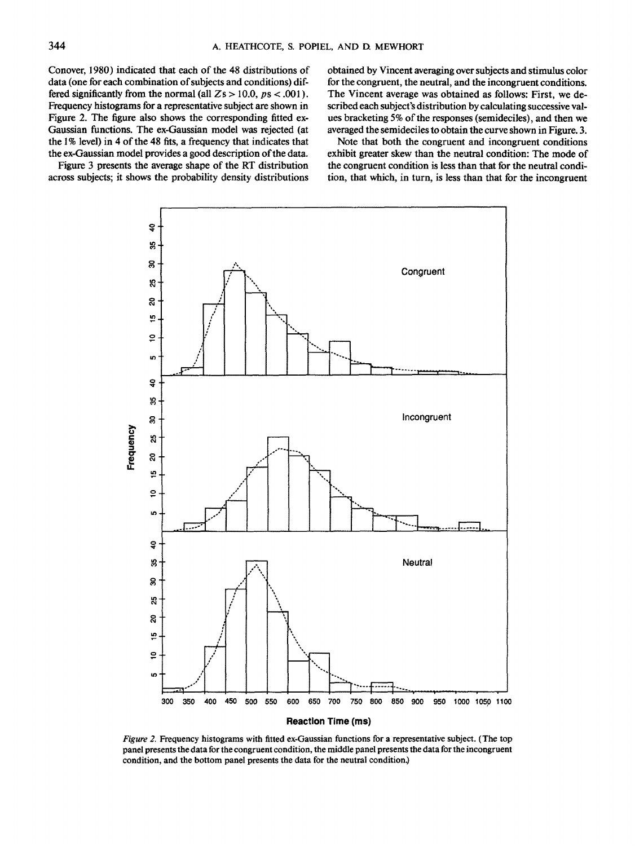**Conover, 1980) indicated that each of the 48 distributions of data (one for each combination of subjects and conditions) dif**fered significantly from the normal (all  $Z_s > 10.0$ ,  $ps < .001$ ). **Frequency histograms for a representative subject are shown in Figure 2. The figure also shows the corresponding fitted ex-Gaussian functions. The ex-Gaussian model was rejected (at the 1% level) in 4 of the 48 fits, a frequency that indicates that the ex-Gaussian model provides a good description of the data.** 

**Figure 3 presents the average shape of the RT distribution across subjects; it shows the probability density distributions**  **obtained by Vincent averaging over subjects and stimulus color for the congruent, the neutral, and the incongruent conditions. The Vincent average was obtained as follows: First, we described each subject's distribution by calculating successive values bracketing 5% of the responses (semideciles), and then we averaged the semideciles to obtain the curve shown in Figure. 3.** 

**Note that both the congruent and incongruent conditions exhibit greater skew than the neutral condition: The mode of the congruent condition is less than that for the neutral condition, that which, in turn, is less than that for the incongruent** 



**Reaction Time (ms)** 

*Figure 2.* **Frequency histograms with fitted ex-Gaussian functions for a representative subject. (The top panel presents the data for the congruent condition, the middle panel presents the data for the incongruent condition, and the bottom panel presents the data for the neutral condition.)**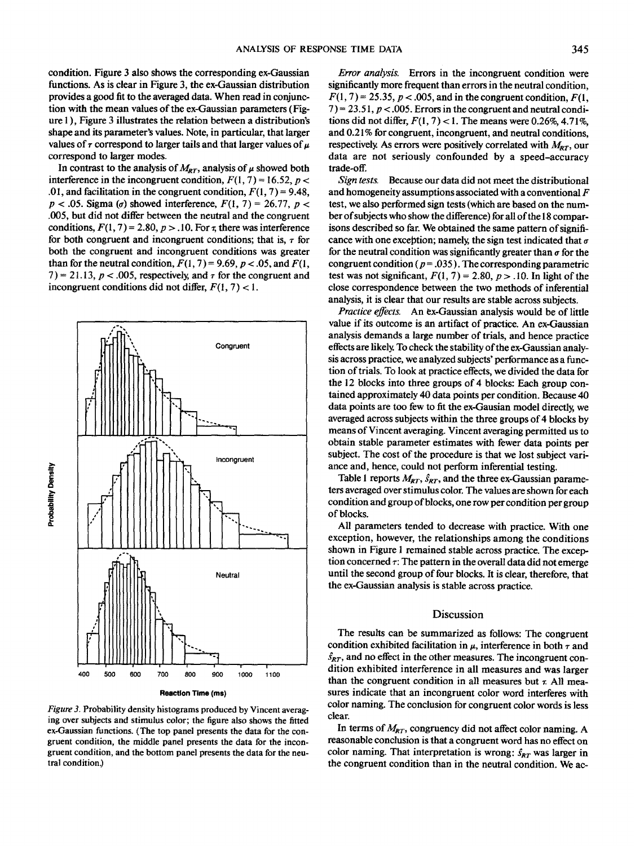condition. Figure 3 also shows the corresponding ex-Gaussian functions. As is clear in Figure 3, the ex-Gaussian distribution provides a good fit to the averaged data. When read in conjunction with the mean values of the ex-Gaussian parameters (Figure 1 ), Figure 3 illustrates the relation between a distributions shape and its parameter's values. Note, in particular, that larger values of  $\tau$  correspond to larger tails and that larger values of  $\mu$ correspond to larger modes.

In contrast to the analysis of  $M_{RT}$ , analysis of  $\mu$  showed both interference in the incongruent condition,  $F(1, 7) = 16.52$ ,  $p <$ .01, and facilitation in the congruent condition,  $F(1, 7) = 9.48$ .  $p < .05$ . Sigma ( $\sigma$ ) showed interference,  $F(1, 7) = 26.77$ ,  $p <$ .005, but did not differ between the neutral and the congruent conditions,  $F(1, 7) = 2.80$ ,  $p > 0.10$ . For  $\tau$ , there was interference for both congruent and incongruent conditions; that is,  $\tau$  for both the congruent and incongruent conditions was greater than for the neutral condition,  $F(1, 7) = 9.69$ ,  $p < .05$ , and  $F(1, 7) = 9.69$ 7) = 21.13,  $p < .005$ , respectively, and  $\tau$  for the congruent and incongruent conditions did not differ,  $F(1, 7) < 1$ .



នី **\_r** 

#### **Reaction Time** (ms)

*Figure 3.* Probability density histograms produced by Vincent averaging over subjects and stimulus color; the figure also shows the fitted ex-Gaussian functions. (The top panel presents the data for the congruent condition, the middle panel presents the data for the incongruent condition, and the bottom panel presents the data for the neutral condition.)

*Error analysis.* Errors in the incongruent condition were significantly more frequent than errors in the neutral condition,  $F(1, 7) = 25.35$ ,  $p < .005$ , and in the congruent condition,  $F(1, 7) = 25.35$ ,  $p < .005$ , and in the congruent condition,  $7$ ) = 23.51,  $p < .005$ . Errors in the congruent and neutral conditions did not differ,  $F(1, 7) < 1$ . The means were 0.26%, 4.71%, and 0.21% for congruent, incongruent, and neutral conditions, respectively. As errors were positively correlated with  $M_{RT}$ , our data are not seriously confounded by a speed-accuracy trade-off.

*Sign tests.* Because our data did not meet the distributional and homogeneity assumptions associated with a conventional  $F$ test, we also performed sign tests (which are based on the number of subjects who show the difference) for all of the 18 comparisons described so far. We obtained the same pattern of significance with one exception; namely, the sign test indicated that  $\sigma$ for the neutral condition was significantly greater than  $\sigma$  for the congruent condition ( $p = .035$ ). The corresponding parametric test was not significant,  $F(1, 7) = 2.80$ ,  $p > .10$ . In light of the close correspondence between the two methods of inferential analysis, it is clear that our results are stable across subjects.

*Practice effects.* An ex-Gaussian analysis would be of little value if its outcome is an artifact of practice. An ex-Gaussian analysis demands a large number of trials, and hence practice effects are likely. To check the stability of the ex-Gaussian analysis across practice, we analyzed subjects' performance as a function of trials. To look at practice effects, we divided the data for the 12 blocks into three groups of 4 blocks: Each group contained approximately 40 data points per condition. Because 40 data points are too few to fit the ex-Gausian model directly, we averaged across subjects within the three groups of 4 blocks by means of Vincent averaging. Vincent averaging permitted us to obtain stable parameter estimates with fewer data points per subject. The cost of the procedure is that we lost subject variance and, hence, could not perform inferential testing.

Table 1 reports  $M_{RT}$ ,  $\hat{s}_{RT}$ , and the three ex-Gaussian parameters averaged over stimulus color. The values are shown for each condition and group of blocks, one row per condition per group of blocks.

All parameters tended to decrease with practice. With one exception, however, the relationships among the conditions shown in Figure I remained stable across practice. The exception concerned  $\tau$ : The pattern in the overall data did not emerge until the second group of four blocks. It is clear, therefore, that the ex-Gaussian analysis is stable across practice.

#### Discussion

The results can be summarized as follows: The congruent condition exhibited facilitation in  $\mu$ , interference in both  $\tau$  and  $\hat{S}_{RT}$ , and no effect in the other measures. The incongruent condition exhibited interference in all measures and was larger than the congruent condition in all measures but  $\tau$ . All measures indicate that an incongruent color word interferes with color naming. The conclusion for congruent color words is less clear.

In terms of  $M_{RT}$ , congruency did not affect color naming. A reasonable conclusion is that a congruent word has no effect on color naming. That interpretation is wrong:  $\hat{s}_{RT}$  was larger in the congruent condition than in the neutral condition. We ac-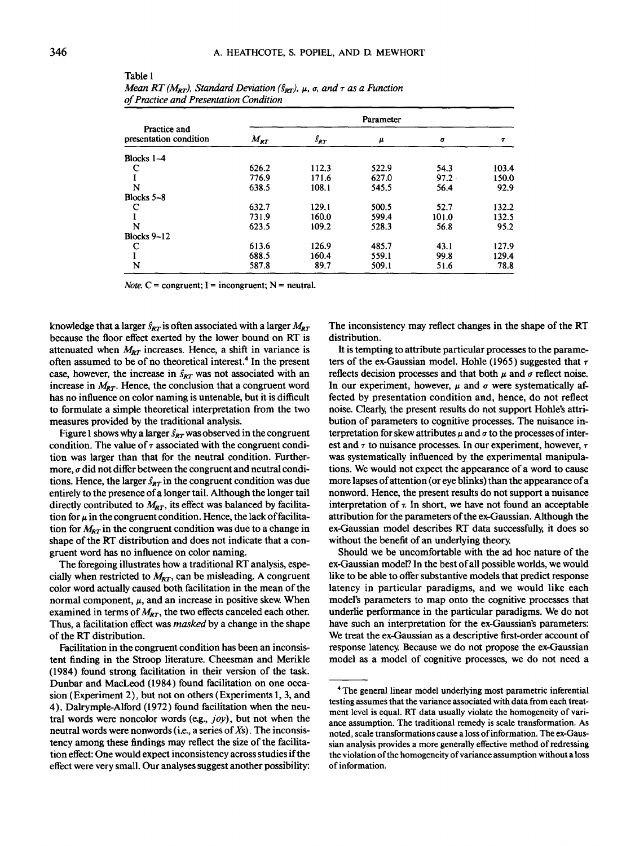| Practice and<br>presentation condition | Parameter |                             |       |                |       |
|----------------------------------------|-----------|-----------------------------|-------|----------------|-------|
|                                        | $M_{RT}$  | $s_{\scriptscriptstyle RT}$ | μ     | $\pmb{\sigma}$ | T     |
| Blocks $1-4$                           |           |                             |       |                |       |
| C                                      | 626.2     | 112.3                       | 522.9 | 54.3           | 103.4 |
|                                        | 776.9     | 171.6                       | 627.0 | 97.2           | 150.0 |
| N                                      | 638.5     | 108.1                       | 545.5 | 56.4           | 92.9  |
| Blocks 5-8                             |           |                             |       |                |       |
| C                                      | 632.7     | 129.1                       | 500.5 | 52.7           | 132.2 |
|                                        | 731.9     | 160.0                       | 599.4 | 101.0          | 132.5 |
| N                                      | 623.5     | 109.2                       | 528.3 | 56.8           | 95.2  |
| Blocks $9-12$                          |           |                             |       |                |       |
| с                                      | 613.6     | 126.9                       | 485.7 | 43.1           | 127.9 |
|                                        | 688.5     | 160.4                       | 559.1 | 99.8           | 129.4 |
| N                                      | 587.8     | 89.7                        | 509.1 | 51.6           | 78.8  |

Table 1 *Mean RT (M<sub>RT</sub>), Standard Deviation (* $\hat{s}_{RT}$ *),*  $\mu$ *,*  $\sigma$ *, and*  $\tau$  *as a Function of Practice and Presentation Condition* 

*Note.*  $C =$  congruent; I = incongruent; N = neutral.

knowledge that a larger  $\hat{S}_{RT}$  is often associated with a larger  $M_{RT}$ because the floor effect exerted by the lower bound on RT is attenuated when  $M_{RT}$  increases. Hence, a shift in variance is often assumed to be of no theoretical interest.<sup>4</sup> In the present case, however, the increase in  $\hat{s}_{RT}$  was not associated with an increase in  $M_{RT}$ . Hence, the conclusion that a congruent word has no influence on color naming is untenable, but it is difficult to formulate a simple theoretical interpretation from the two measures provided by the traditional analysis.

Figure 1 shows why a larger  $\hat{s}_{RT}$  was observed in the congruent condition. The value of  $\tau$  associated with the congruent condition was larger than that for the neutral condition. Furthermore,  $\sigma$  did not differ between the congruent and neutral conditions. Hence, the larger  $\hat{s}_{RT}$  in the congruent condition was due entirely to the presence of a longer tail. Although the longer tail directly contributed to  $M_{RT}$ , its effect was balanced by facilitation for  $\mu$  in the congruent condition. Hence, the lack of facilitation for  $M_{RT}$  in the congruent condition was due to a change in shape of the RT distribution and does not indicate that a congruent word has no influence on color naming.

The foregoing illustrates how a traditional RT analysis, especially when restricted to  $M_{RT}$ , can be misleading. A congruent color word actually caused both facilitation in the mean of the normal component,  $\mu$ , and an increase in positive skew. When examined in terms of  $M_{RT}$ , the two effects canceled each other. Thus, a facilitation effect was *masked* by a change in the shape of the RT distribution.

Facilitation in the congruent condition has been an inconsistent finding in the Stroop literature. Cheesman and Merikle (1984) found strong facilitation in their version of the task. Dunbar and MacLeod (1984) found facilitation on one occasion (Experiment 2), but not on others (Experiments 1, 3, and 4). Dalrymple-Alford (1972) found facilitation when the neutral words were noncolor words (e.g., *joy),* but not when the neutral words were nonwords (i.e., a series of  $X_s$ ). The inconsistency among these findings may reflect the size of the facilitation effect: One would expect inconsistency across studies if the effect were very small. Our analyses suggest another possibility:

The inconsistency may reflect changes in the shape of the RT distribution.

It is tempting to attribute particular processes to the parameters of the ex-Gaussian model. Hohle (1965) suggested that  $\tau$ reflects decision processes and that both  $\mu$  and  $\sigma$  reflect noise. In our experiment, however,  $\mu$  and  $\sigma$  were systematically affected by presentation condition and, hence, do not reflect noise. Clearly, the present results do not support Hohle's attribution of parameters to cognitive processes. The nuisance interpretation for skew attributes  $\mu$  and  $\sigma$  to the processes of interest and  $\tau$  to nuisance processes. In our experiment, however,  $\tau$ was systematically influenced by the experimental manipulations. We would not expect the appearance of a word to cause more lapses of attention (or eye blinks) than the appearance of a nonword. Hence, the present results do not support a nuisance interpretation of  $\tau$ . In short, we have not found an acceptable attribution for the parameters of the ex-Gaussian. Although the ex-Gaussian model describes RT data successfully, it does so without the benefit of an underlying theory.

Should we be uncomfortable with the ad hoe nature of the ex-Gaussian model? In the best of all possible worlds, we would like to be able to offer substantive models that predict response latency in particular paradigms, and we would like each model's parameters to map onto the cognitive processes that underlie performance in the particular paradigms. We do not have such an interpretation for the ex-Gaussian's parameters: We treat the ex-Gaussian as a descriptive first-order account of response latency. Because we do not propose the ex-Gaussian model as a model of cognitive processes, we do not need a

<sup>4</sup> The general linear model underlying most parametric inferential testing assumes that the variance associated with data from each treatment level is equal. RT data usually violate the homogeneity of variance assumption. The traditional remedy is scale transformation. As noted, scale transformations cause a loss of information. The ex-Gaussian analysis provides a more generally effective method of redressing the violation of the homogeneity of variance assumption without a loss of information.